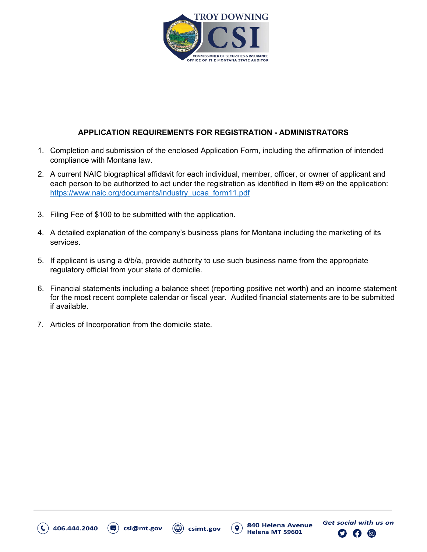

# **APPLICATION REQUIREMENTS FOR REGISTRATION - ADMINISTRATORS**

- 1. Completion and submission of the enclosed Application Form, including the affirmation of intended compliance with Montana law.
- 2. A current NAIC biographical affidavit for each individual, member, officer, or owner of applicant and each person to be authorized to act under the registration as identified in Item #9 on the application: https://www.naic.org/documents/industry\_ucaa\_form11.pdf
- 3. Filing Fee of \$100 to be submitted with the application.
- 4. A detailed explanation of the company's business plans for Montana including the marketing of its services.
- 5. If applicant is using a d/b/a, provide authority to use such business name from the appropriate regulatory official from your state of domicile.
- 6. Financial statements including a balance sheet (reporting positive net worth**)** and an income statement for the most recent complete calendar or fiscal year. Audited financial statements are to be submitted if available.

**Get social with us on** 

840 Helena Avenue

Helena MT 59601

ဴ၀

csimt.gov

7. Articles of Incorporation from the domicile state.

**...**

csi@mt.gov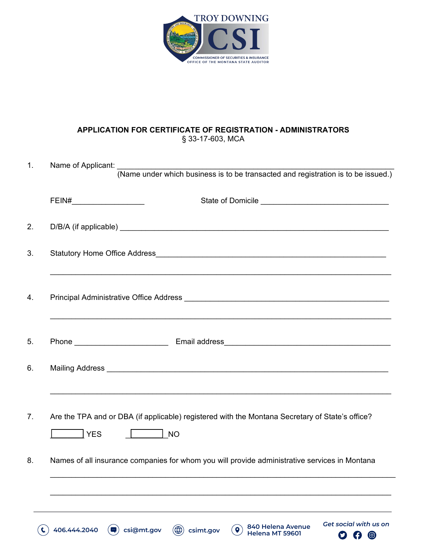

### **APPLICATION FOR CERTIFICATE OF REGISTRATION - ADMINISTRATORS** § 33-17-603, MCA

| 1. |                                                                                                                                                                                                                                                                                                                                                                                             |
|----|---------------------------------------------------------------------------------------------------------------------------------------------------------------------------------------------------------------------------------------------------------------------------------------------------------------------------------------------------------------------------------------------|
|    | Name of Applicant:<br>(Name under which business is to be transacted and registration is to be issued.)                                                                                                                                                                                                                                                                                     |
|    | $\begin{picture}(20,10) \put(0,0){\dashbox{0.5}(5,0){ }} \put(15,0){\circle{10}} \put(15,0){\circle{10}} \put(15,0){\circle{10}} \put(15,0){\circle{10}} \put(15,0){\circle{10}} \put(15,0){\circle{10}} \put(15,0){\circle{10}} \put(15,0){\circle{10}} \put(15,0){\circle{10}} \put(15,0){\circle{10}} \put(15,0){\circle{10}} \put(15,0){\circle{10}} \put(15,0){\circle{10}} \put(15,0$ |
| 2. |                                                                                                                                                                                                                                                                                                                                                                                             |
| 3. |                                                                                                                                                                                                                                                                                                                                                                                             |
| 4. |                                                                                                                                                                                                                                                                                                                                                                                             |
| 5. |                                                                                                                                                                                                                                                                                                                                                                                             |
| 6. |                                                                                                                                                                                                                                                                                                                                                                                             |
| 7. | Are the TPA and or DBA (if applicable) registered with the Montana Secretary of State's office?<br><b>NO</b><br>  YES                                                                                                                                                                                                                                                                       |
| 8. | Names of all insurance companies for whom you will provide administrative services in Montana                                                                                                                                                                                                                                                                                               |
|    |                                                                                                                                                                                                                                                                                                                                                                                             |
|    | <b>Get social with us on</b><br>840 Helena Avenue<br>$\circledast$<br>406.444.2040<br>$\bullet$<br>csi@mt.gov<br>$\blacksquare$<br>csimt.gov<br>Helena MT 59601<br>$O$ $O$ $O$                                                                                                                                                                                                              |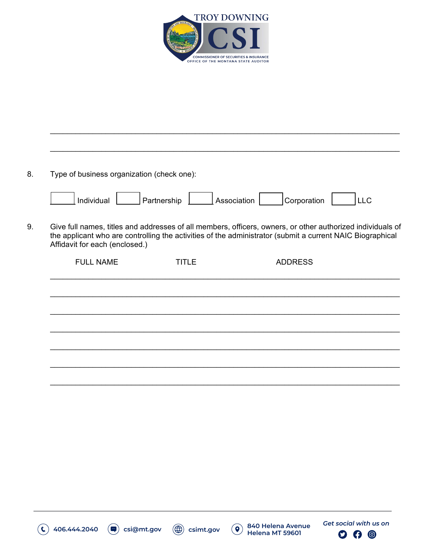

| Individual                     | Partnership  | Association<br>Corporation                                                                                                                                                                                              | <b>LLC</b> |
|--------------------------------|--------------|-------------------------------------------------------------------------------------------------------------------------------------------------------------------------------------------------------------------------|------------|
| Affidavit for each (enclosed.) |              | Give full names, titles and addresses of all members, officers, owners, or other authorized individuals of<br>the applicant who are controlling the activities of the administrator (submit a current NAIC Biographical |            |
| <b>FULL NAME</b>               | <b>TITLE</b> | <b>ADDRESS</b>                                                                                                                                                                                                          |            |
|                                |              |                                                                                                                                                                                                                         |            |
|                                |              |                                                                                                                                                                                                                         |            |
|                                |              |                                                                                                                                                                                                                         |            |
|                                |              |                                                                                                                                                                                                                         |            |

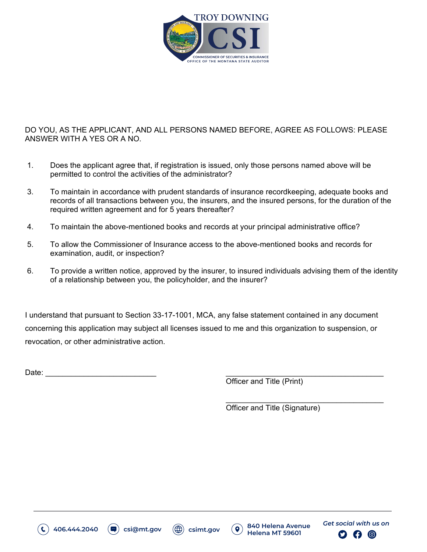

### DO YOU, AS THE APPLICANT, AND ALL PERSONS NAMED BEFORE, AGREE AS FOLLOWS: PLEASE ANSWER WITH A YES OR A NO.

- 1. Does the applicant agree that, if registration is issued, only those persons named above will be permitted to control the activities of the administrator?
- 3. To maintain in accordance with prudent standards of insurance recordkeeping, adequate books and records of all transactions between you, the insurers, and the insured persons, for the duration of the required written agreement and for 5 years thereafter?
- 4. To maintain the above-mentioned books and records at your principal administrative office?
- 5. To allow the Commissioner of Insurance access to the above-mentioned books and records for examination, audit, or inspection?
- 6. To provide a written notice, approved by the insurer, to insured individuals advising them of the identity of a relationship between you, the policyholder, and the insurer?

I understand that pursuant to Section 33-17-1001, MCA, any false statement contained in any document concerning this application may subject all licenses issued to me and this organization to suspension, or revocation, or other administrative action.

Date: \_\_\_\_\_\_\_\_\_\_\_\_\_\_\_\_\_\_\_\_\_\_\_\_\_\_ \_\_\_\_\_\_\_\_\_\_\_\_\_\_\_\_\_\_\_\_\_\_\_\_\_\_\_\_\_\_\_\_\_\_\_\_\_

Officer and Title (Print)

 $\overline{\phantom{a}}$  , where  $\overline{\phantom{a}}$  , where  $\overline{\phantom{a}}$  , where  $\overline{\phantom{a}}$  , where  $\overline{\phantom{a}}$ Officer and Title (Signature)







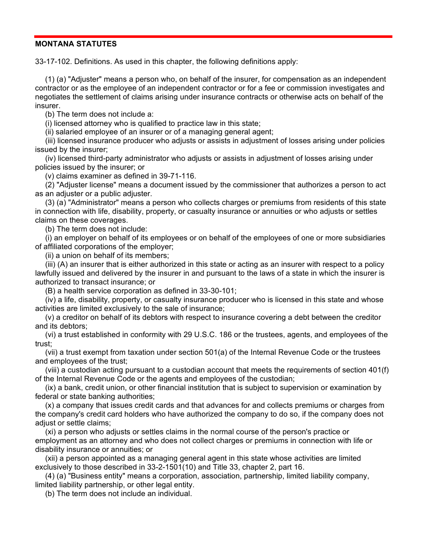#### **MONTANA STATUTES**

33-17-102. Definitions. As used in this chapter, the following definitions apply:

(1) (a) "Adjuster" means a person who, on behalf of the insurer, for compensation as an independent contractor or as the employee of an independent contractor or for a fee or commission investigates and negotiates the settlement of claims arising under insurance contracts or otherwise acts on behalf of the insurer.

(b) The term does not include a:

(i) licensed attorney who is qualified to practice law in this state;

(ii) salaried employee of an insurer or of a managing general agent;

(iii) licensed insurance producer who adjusts or assists in adjustment of losses arising under policies issued by the insurer;

(iv) licensed third-party administrator who adjusts or assists in adjustment of losses arising under policies issued by the insurer; or

(v) claims examiner as defined in 39-71-116.

(2) "Adjuster license" means a document issued by the commissioner that authorizes a person to act as an adjuster or a public adjuster.

(3) (a) "Administrator" means a person who collects charges or premiums from residents of this state in connection with life, disability, property, or casualty insurance or annuities or who adjusts or settles claims on these coverages.

(b) The term does not include:

(i) an employer on behalf of its employees or on behalf of the employees of one or more subsidiaries of affiliated corporations of the employer;

(ii) a union on behalf of its members;

(iii) (A) an insurer that is either authorized in this state or acting as an insurer with respect to a policy lawfully issued and delivered by the insurer in and pursuant to the laws of a state in which the insurer is authorized to transact insurance; or

(B) a health service corporation as defined in 33-30-101;

(iv) a life, disability, property, or casualty insurance producer who is licensed in this state and whose activities are limited exclusively to the sale of insurance;

(v) a creditor on behalf of its debtors with respect to insurance covering a debt between the creditor and its debtors;

(vi) a trust established in conformity with 29 U.S.C. 186 or the trustees, agents, and employees of the trust;

(vii) a trust exempt from taxation under section 501(a) of the Internal Revenue Code or the trustees and employees of the trust;

(viii) a custodian acting pursuant to a custodian account that meets the requirements of section 401(f) of the Internal Revenue Code or the agents and employees of the custodian;

(ix) a bank, credit union, or other financial institution that is subject to supervision or examination by federal or state banking authorities;

(x) a company that issues credit cards and that advances for and collects premiums or charges from the company's credit card holders who have authorized the company to do so, if the company does not adiust or settle claims:

(xi) a person who adjusts or settles claims in the normal course of the person's practice or employment as an attorney and who does not collect charges or premiums in connection with life or disability insurance or annuities; or

(xii) a person appointed as a managing general agent in this state whose activities are limited exclusively to those described in 33-2-1501(10) and Title 33, chapter 2, part 16.

(4) (a) "Business entity" means a corporation, association, partnership, limited liability company, limited liability partnership, or other legal entity.

(b) The term does not include an individual.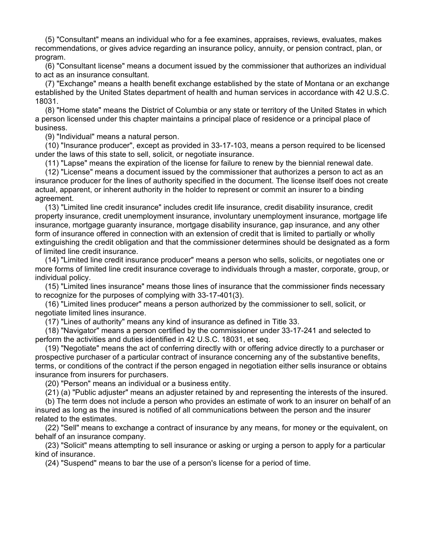(5) "Consultant" means an individual who for a fee examines, appraises, reviews, evaluates, makes recommendations, or gives advice regarding an insurance policy, annuity, or pension contract, plan, or program.

(6) "Consultant license" means a document issued by the commissioner that authorizes an individual to act as an insurance consultant.

(7) "Exchange" means a health benefit exchange established by the state of Montana or an exchange established by the United States department of health and human services in accordance with 42 U.S.C. 18031.

(8) "Home state" means the District of Columbia or any state or territory of the United States in which a person licensed under this chapter maintains a principal place of residence or a principal place of business.

(9) "Individual" means a natural person.

(10) "Insurance producer", except as provided in 33-17-103, means a person required to be licensed under the laws of this state to sell, solicit, or negotiate insurance.

(11) "Lapse" means the expiration of the license for failure to renew by the biennial renewal date.

(12) "License" means a document issued by the commissioner that authorizes a person to act as an insurance producer for the lines of authority specified in the document. The license itself does not create actual, apparent, or inherent authority in the holder to represent or commit an insurer to a binding agreement.

(13) "Limited line credit insurance" includes credit life insurance, credit disability insurance, credit property insurance, credit unemployment insurance, involuntary unemployment insurance, mortgage life insurance, mortgage guaranty insurance, mortgage disability insurance, gap insurance, and any other form of insurance offered in connection with an extension of credit that is limited to partially or wholly extinguishing the credit obligation and that the commissioner determines should be designated as a form of limited line credit insurance.

(14) "Limited line credit insurance producer" means a person who sells, solicits, or negotiates one or more forms of limited line credit insurance coverage to individuals through a master, corporate, group, or individual policy.

(15) "Limited lines insurance" means those lines of insurance that the commissioner finds necessary to recognize for the purposes of complying with 33-17-401(3).

(16) "Limited lines producer" means a person authorized by the commissioner to sell, solicit, or negotiate limited lines insurance.

(17) "Lines of authority" means any kind of insurance as defined in Title 33.

(18) "Navigator" means a person certified by the commissioner under 33-17-241 and selected to perform the activities and duties identified in 42 U.S.C. 18031, et seq.

(19) "Negotiate" means the act of conferring directly with or offering advice directly to a purchaser or prospective purchaser of a particular contract of insurance concerning any of the substantive benefits, terms, or conditions of the contract if the person engaged in negotiation either sells insurance or obtains insurance from insurers for purchasers.

(20) "Person" means an individual or a business entity.

(21) (a) "Public adjuster" means an adjuster retained by and representing the interests of the insured.

(b) The term does not include a person who provides an estimate of work to an insurer on behalf of an insured as long as the insured is notified of all communications between the person and the insurer related to the estimates.

(22) "Sell" means to exchange a contract of insurance by any means, for money or the equivalent, on behalf of an insurance company.

(23) "Solicit" means attempting to sell insurance or asking or urging a person to apply for a particular kind of insurance.

(24) "Suspend" means to bar the use of a person's license for a period of time.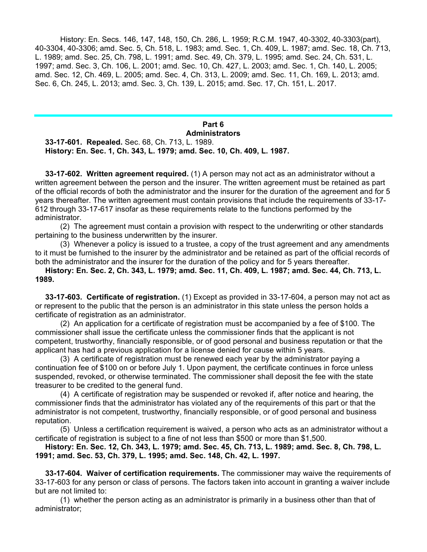History: En. Secs. 146, 147, 148, 150, Ch. 286, L. 1959; R.C.M. 1947, 40-3302, 40-3303(part), 40-3304, 40-3306; amd. Sec. 5, Ch. 518, L. 1983; amd. Sec. 1, Ch. 409, L. 1987; amd. Sec. 18, Ch. 713, L. 1989; amd. Sec. 25, Ch. 798, L. 1991; amd. Sec. 49, Ch. 379, L. 1995; amd. Sec. 24, Ch. 531, L. 1997; amd. Sec. 3, Ch. 106, L. 2001; amd. Sec. 10, Ch. 427, L. 2003; amd. Sec. 1, Ch. 140, L. 2005; amd. Sec. 12, Ch. 469, L. 2005; amd. Sec. 4, Ch. 313, L. 2009; amd. Sec. 11, Ch. 169, L. 2013; amd. Sec. 6, Ch. 245, L. 2013; amd. Sec. 3, Ch. 139, L. 2015; amd. Sec. 17, Ch. 151, L. 2017.

## **Part 6 Administrators**

**33-17-601. Repealed.** Sec. 68, Ch. 713, L. 1989. **History: En. Sec. 1, Ch. 343, L. 1979; amd. Sec. 10, Ch. 409, L. 1987.**

**33-17-602. Written agreement required.** (1) A person may not act as an administrator without a written agreement between the person and the insurer. The written agreement must be retained as part of the official records of both the administrator and the insurer for the duration of the agreement and for 5 years thereafter. The written agreement must contain provisions that include the requirements of 33-17- 612 through 33-17-617 insofar as these requirements relate to the functions performed by the administrator.

(2) The agreement must contain a provision with respect to the underwriting or other standards pertaining to the business underwritten by the insurer.

(3) Whenever a policy is issued to a trustee, a copy of the trust agreement and any amendments to it must be furnished to the insurer by the administrator and be retained as part of the official records of both the administrator and the insurer for the duration of the policy and for 5 years thereafter.

**History: En. Sec. 2, Ch. 343, L. 1979; amd. Sec. 11, Ch. 409, L. 1987; amd. Sec. 44, Ch. 713, L. 1989.** 

**33-17-603. Certificate of registration.** (1) Except as provided in 33-17-604, a person may not act as or represent to the public that the person is an administrator in this state unless the person holds a certificate of registration as an administrator.

(2) An application for a certificate of registration must be accompanied by a fee of \$100. The commissioner shall issue the certificate unless the commissioner finds that the applicant is not competent, trustworthy, financially responsible, or of good personal and business reputation or that the applicant has had a previous application for a license denied for cause within 5 years.

(3) A certificate of registration must be renewed each year by the administrator paying a continuation fee of \$100 on or before July 1. Upon payment, the certificate continues in force unless suspended, revoked, or otherwise terminated. The commissioner shall deposit the fee with the state treasurer to be credited to the general fund.

(4) A certificate of registration may be suspended or revoked if, after notice and hearing, the commissioner finds that the administrator has violated any of the requirements of this part or that the administrator is not competent, trustworthy, financially responsible, or of good personal and business reputation.

(5) Unless a certification requirement is waived, a person who acts as an administrator without a certificate of registration is subject to a fine of not less than \$500 or more than \$1,500.

**History: En. Sec. 12, Ch. 343, L. 1979; amd. Sec. 45, Ch. 713, L. 1989; amd. Sec. 8, Ch. 798, L. 1991; amd. Sec. 53, Ch. 379, L. 1995; amd. Sec. 148, Ch. 42, L. 1997.** 

**33-17-604. Waiver of certification requirements.** The commissioner may waive the requirements of 33-17-603 for any person or class of persons. The factors taken into account in granting a waiver include but are not limited to:

(1) whether the person acting as an administrator is primarily in a business other than that of administrator;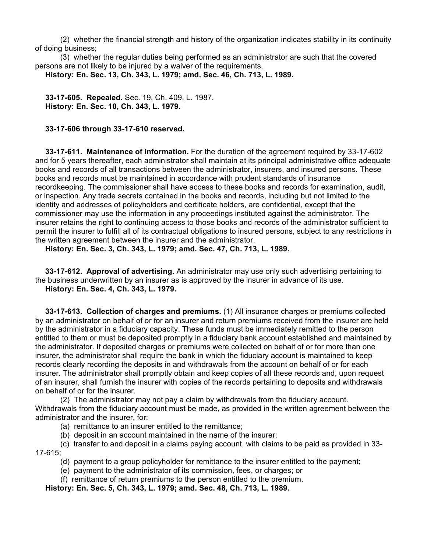(2) whether the financial strength and history of the organization indicates stability in its continuity of doing business;

(3) whether the regular duties being performed as an administrator are such that the covered persons are not likely to be injured by a waiver of the requirements. **History: En. Sec. 13, Ch. 343, L. 1979; amd. Sec. 46, Ch. 713, L. 1989.** 

**33-17-605. Repealed.** Sec. 19, Ch. 409, L. 1987. **History: En. Sec. 10, Ch. 343, L. 1979.**

**33-17-606 through 33-17-610 reserved.**

**33-17-611. Maintenance of information.** For the duration of the agreement required by 33-17-602 and for 5 years thereafter, each administrator shall maintain at its principal administrative office adequate books and records of all transactions between the administrator, insurers, and insured persons. These books and records must be maintained in accordance with prudent standards of insurance recordkeeping. The commissioner shall have access to these books and records for examination, audit, or inspection. Any trade secrets contained in the books and records, including but not limited to the identity and addresses of policyholders and certificate holders, are confidential, except that the commissioner may use the information in any proceedings instituted against the administrator. The insurer retains the right to continuing access to those books and records of the administrator sufficient to permit the insurer to fulfill all of its contractual obligations to insured persons, subject to any restrictions in the written agreement between the insurer and the administrator.

**History: En. Sec. 3, Ch. 343, L. 1979; amd. Sec. 47, Ch. 713, L. 1989.** 

**33-17-612. Approval of advertising.** An administrator may use only such advertising pertaining to the business underwritten by an insurer as is approved by the insurer in advance of its use. **History: En. Sec. 4, Ch. 343, L. 1979.** 

**33-17-613. Collection of charges and premiums.** (1) All insurance charges or premiums collected by an administrator on behalf of or for an insurer and return premiums received from the insurer are held by the administrator in a fiduciary capacity. These funds must be immediately remitted to the person entitled to them or must be deposited promptly in a fiduciary bank account established and maintained by the administrator. If deposited charges or premiums were collected on behalf of or for more than one insurer, the administrator shall require the bank in which the fiduciary account is maintained to keep records clearly recording the deposits in and withdrawals from the account on behalf of or for each insurer. The administrator shall promptly obtain and keep copies of all these records and, upon request of an insurer, shall furnish the insurer with copies of the records pertaining to deposits and withdrawals on behalf of or for the insurer.

(2) The administrator may not pay a claim by withdrawals from the fiduciary account. Withdrawals from the fiduciary account must be made, as provided in the written agreement between the administrator and the insurer, for:

- (a) remittance to an insurer entitled to the remittance;
- (b) deposit in an account maintained in the name of the insurer;

(c) transfer to and deposit in a claims paying account, with claims to be paid as provided in 33- 17-615;

- (d) payment to a group policyholder for remittance to the insurer entitled to the payment;
- (e) payment to the administrator of its commission, fees, or charges; or
- (f) remittance of return premiums to the person entitled to the premium.

**History: En. Sec. 5, Ch. 343, L. 1979; amd. Sec. 48, Ch. 713, L. 1989.**